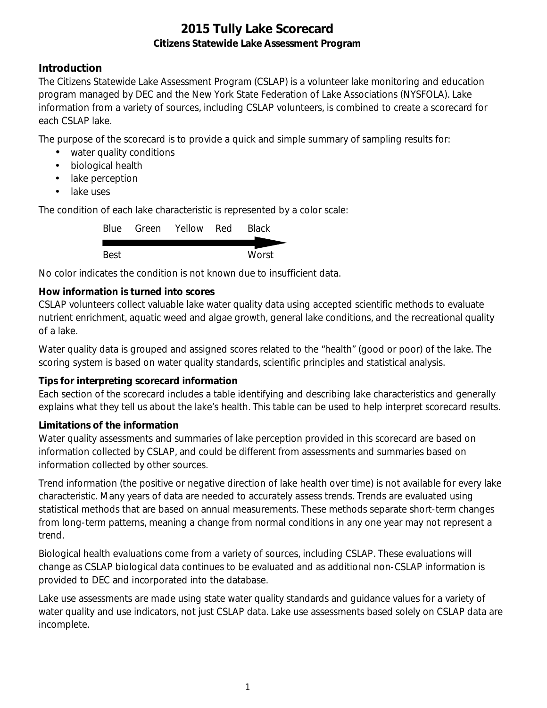## **Introduction**

The Citizens Statewide Lake Assessment Program (CSLAP) is a volunteer lake monitoring and education program managed by DEC and the New York State Federation of Lake Associations (NYSFOLA). Lake information from a variety of sources, including CSLAP volunteers, is combined to create a scorecard for each CSLAP lake.

The purpose of the scorecard is to provide a quick and simple summary of sampling results for:

- water quality conditions
- $\mathcal{L}^{\text{max}}$ biological health
- . lake perception
- L. lake uses

The condition of each lake characteristic is represented by a color scale:

|      | Blue Green Yellow Red | <b>Black</b> |
|------|-----------------------|--------------|
|      |                       |              |
| Best |                       | Worst        |

No color indicates the condition is not known due to insufficient data.

### **How information is turned into scores**

CSLAP volunteers collect valuable lake water quality data using accepted scientific methods to evaluate nutrient enrichment, aquatic weed and algae growth, general lake conditions, and the recreational quality of a lake.

Water quality data is grouped and assigned scores related to the "health" (good or poor) of the lake. The scoring system is based on water quality standards, scientific principles and statistical analysis.

#### **Tips for interpreting scorecard information**

Each section of the scorecard includes a table identifying and describing lake characteristics and generally explains what they tell us about the lake's health. This table can be used to help interpret scorecard results.

#### **Limitations of the information**

Water quality assessments and summaries of lake perception provided in this scorecard are based on information collected by CSLAP, and could be different from assessments and summaries based on information collected by other sources.

Trend information (the positive or negative direction of lake health over time) is not available for every lake characteristic. Many years of data are needed to accurately assess trends. Trends are evaluated using statistical methods that are based on annual measurements. These methods separate short-term changes from long-term patterns, meaning a change from normal conditions in any one year may not represent a trend.

Biological health evaluations come from a variety of sources, including CSLAP. These evaluations will change as CSLAP biological data continues to be evaluated and as additional non-CSLAP information is provided to DEC and incorporated into the database.

Lake use assessments are made using state water quality standards and guidance values for a variety of water quality and use indicators, not just CSLAP data. Lake use assessments based solely on CSLAP data are incomplete.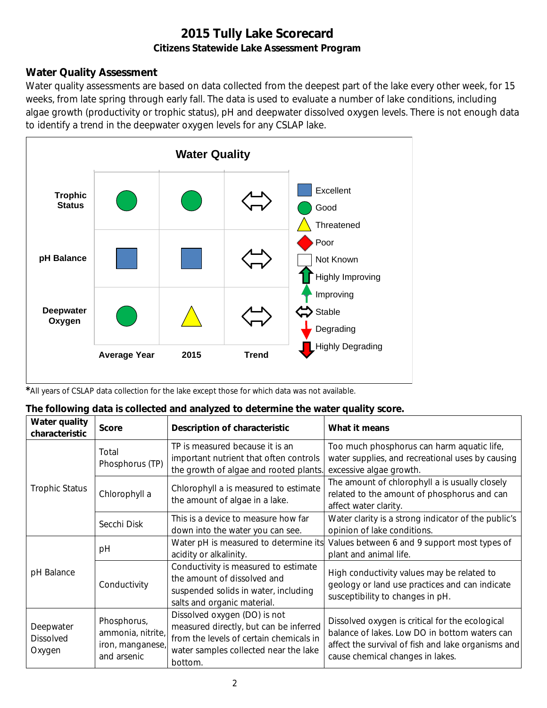## **Water Quality Assessment**

Water quality assessments are based on data collected from the deepest part of the lake every other week, for 15 weeks, from late spring through early fall. The data is used to evaluate a number of lake conditions, including algae growth (productivity or trophic status), pH and deepwater dissolved oxygen levels. There is not enough data to identify a trend in the deepwater oxygen levels for any CSLAP lake.



*\**All years of CSLAP data collection for the lake except those for which data was not available.

#### **The following data is collected and analyzed to determine the water quality score.**

| Water quality<br>characteristic         | <b>Score</b>                                                        | Description of characteristic                                                                                                                                         | What it means                                                                                                                                                                              |
|-----------------------------------------|---------------------------------------------------------------------|-----------------------------------------------------------------------------------------------------------------------------------------------------------------------|--------------------------------------------------------------------------------------------------------------------------------------------------------------------------------------------|
|                                         | Total<br>Phosphorus (TP)                                            | TP is measured because it is an<br>important nutrient that often controls<br>the growth of algae and rooted plants.                                                   | Too much phosphorus can harm aquatic life,<br>water supplies, and recreational uses by causing<br>excessive algae growth.                                                                  |
| <b>Trophic Status</b>                   | Chlorophyll a                                                       | Chlorophyll a is measured to estimate<br>the amount of algae in a lake.                                                                                               | The amount of chlorophyll a is usually closely<br>related to the amount of phosphorus and can<br>affect water clarity.                                                                     |
|                                         | Secchi Disk                                                         | This is a device to measure how far<br>down into the water you can see.                                                                                               | Water clarity is a strong indicator of the public's<br>opinion of lake conditions.                                                                                                         |
|                                         | рH                                                                  | Water pH is measured to determine its<br>acidity or alkalinity.                                                                                                       | Values between 6 and 9 support most types of<br>plant and animal life.                                                                                                                     |
| pH Balance                              | Conductivity                                                        | Conductivity is measured to estimate<br>the amount of dissolved and<br>suspended solids in water, including<br>salts and organic material.                            | High conductivity values may be related to<br>geology or land use practices and can indicate<br>susceptibility to changes in pH.                                                           |
| Deepwater<br><b>Dissolved</b><br>Oxygen | Phosphorus,<br>ammonia, nitrite,<br>iron, manganese,<br>and arsenic | Dissolved oxygen (DO) is not<br>measured directly, but can be inferred<br>from the levels of certain chemicals in<br>water samples collected near the lake<br>bottom. | Dissolved oxygen is critical for the ecological<br>balance of lakes. Low DO in bottom waters can<br>affect the survival of fish and lake organisms and<br>cause chemical changes in lakes. |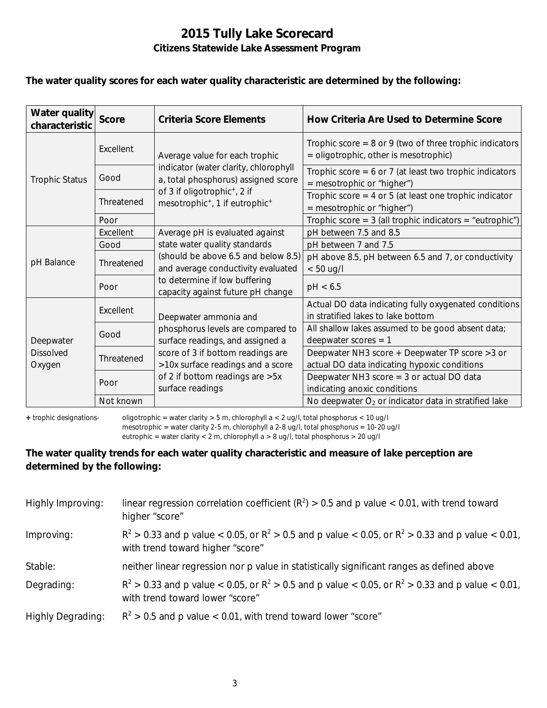#### **The water quality scores for each water quality characteristic are determined by the following:**

| Water quality<br>characteristic | <b>Score</b> | Criteria Score Elements                                                                            | How Criteria Are Used to Determine Score                                                             |
|---------------------------------|--------------|----------------------------------------------------------------------------------------------------|------------------------------------------------------------------------------------------------------|
| <b>Trophic Status</b>           | Excellent    | Average value for each trophic                                                                     | Trophic score = $8$ or $9$ (two of three trophic indicators<br>= oligotrophic, other is mesotrophic) |
|                                 | Good         | indicator (water clarity, chlorophyll<br>a, total phosphorus) assigned score                       | Trophic score = $6$ or 7 (at least two trophic indicators<br>$=$ mesotrophic or "higher")            |
|                                 | Threatened   | of 3 if oligotrophic <sup>+</sup> , 2 if<br>mesotrophic <sup>+</sup> , 1 if eutrophic <sup>+</sup> | Trophic score = $4$ or $5$ (at least one trophic indicator<br>= mesotrophic or "higher")             |
|                                 | Poor         |                                                                                                    | Trophic score = $3$ (all trophic indicators = "eutrophic")                                           |
|                                 | Excellent    | Average pH is evaluated against                                                                    | pH between 7.5 and 8.5                                                                               |
|                                 | Good         | state water quality standards                                                                      | pH between 7 and 7.5                                                                                 |
| pH Balance                      | Threatened   | (should be above 6.5 and below 8.5)<br>and average conductivity evaluated                          | pH above 8.5, pH between 6.5 and 7, or conductivity<br>$< 50$ ug/l                                   |
|                                 | Poor         | to determine if low buffering<br>capacity against future pH change                                 | pH < 6.5                                                                                             |
|                                 | Excellent    | Deepwater ammonia and                                                                              | Actual DO data indicating fully oxygenated conditions<br>in stratified lakes to lake bottom          |
| Deepwater                       | Good         | phosphorus levels are compared to<br>surface readings, and assigned a                              | All shallow lakes assumed to be good absent data;<br>deepwater scores $= 1$                          |
| <b>Dissolved</b><br>Oxygen      | Threatened   | score of 3 if bottom readings are<br>>10x surface readings and a score                             | Deepwater NH3 score + Deepwater TP score > 3 or<br>actual DO data indicating hypoxic conditions      |
|                                 | Poor         | of 2 if bottom readings are > 5x<br>surface readings                                               | Deepwater NH3 score $=$ 3 or actual DO data<br>indicating anoxic conditions                          |
|                                 | Not known    |                                                                                                    | No deepwater $O_2$ or indicator data in stratified lake                                              |

**+** trophic designations- oligotrophic = water clarity > 5 m, chlorophyll a < 2 ug/l, total phosphorus < 10 ug/l mesotrophic = water clarity 2-5 m, chlorophyll a 2-8 ug/l, total phosphorus = 10-20 ug/l

eutrophic = water clarity < 2 m, chlorophyll a > 8 ug/l, total phosphorus > 20 ug/l

### **The water quality trends for each water quality characteristic and measure of lake perception are determined by the following:**

| Highly Improving:        | linear regression correlation coefficient ( $R^2$ ) > 0.5 and p value < 0.01, with trend toward<br>higher "score"                           |
|--------------------------|---------------------------------------------------------------------------------------------------------------------------------------------|
| Improving:               | $R^2 > 0.33$ and p value < 0.05, or $R^2 > 0.5$ and p value < 0.05, or $R^2 > 0.33$ and p value < 0.01,<br>with trend toward higher "score" |
| Stable:                  | neither linear regression nor p value in statistically significant ranges as defined above                                                  |
| Degrading:               | $R^2 > 0.33$ and p value < 0.05, or $R^2 > 0.5$ and p value < 0.05, or $R^2 > 0.33$ and p value < 0.01,<br>with trend toward lower "score"  |
| <b>Highly Degrading:</b> | $R^2 > 0.5$ and p value < 0.01, with trend toward lower "score"                                                                             |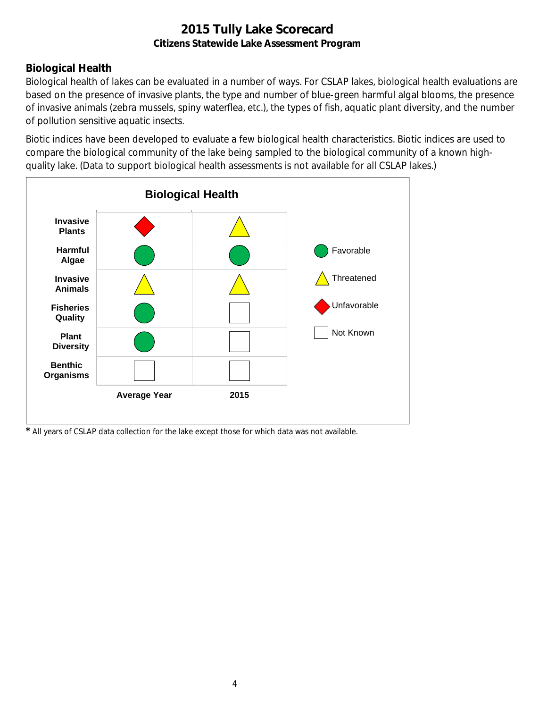## **Biological Health**

Biological health of lakes can be evaluated in a number of ways. For CSLAP lakes, biological health evaluations are based on the presence of invasive plants, the type and number of blue-green harmful algal blooms, the presence of invasive animals (zebra mussels, spiny waterflea, etc.), the types of fish, aquatic plant diversity, and the number of pollution sensitive aquatic insects.

Biotic indices have been developed to evaluate a few biological health characteristics. Biotic indices are used to compare the biological community of the lake being sampled to the biological community of a known highquality lake. (Data to support biological health assessments is not available for all CSLAP lakes.)



*\** All years of CSLAP data collection for the lake except those for which data was not available.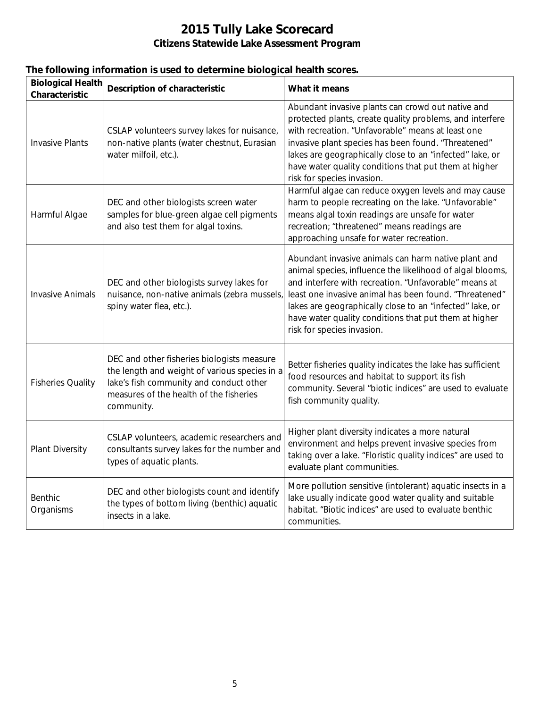| <b>Biological Health</b><br>Characteristic | <b>Description of characteristic</b>                                                                                                                                                            | What it means                                                                                                                                                                                                                                                                                                                                                                          |
|--------------------------------------------|-------------------------------------------------------------------------------------------------------------------------------------------------------------------------------------------------|----------------------------------------------------------------------------------------------------------------------------------------------------------------------------------------------------------------------------------------------------------------------------------------------------------------------------------------------------------------------------------------|
| <b>Invasive Plants</b>                     | CSLAP volunteers survey lakes for nuisance,<br>non-native plants (water chestnut, Eurasian<br>water milfoil, etc.).                                                                             | Abundant invasive plants can crowd out native and<br>protected plants, create quality problems, and interfere<br>with recreation. "Unfavorable" means at least one<br>invasive plant species has been found. "Threatened"<br>lakes are geographically close to an "infected" lake, or<br>have water quality conditions that put them at higher<br>risk for species invasion.           |
| Harmful Algae                              | DEC and other biologists screen water<br>samples for blue-green algae cell pigments<br>and also test them for algal toxins.                                                                     | Harmful algae can reduce oxygen levels and may cause<br>harm to people recreating on the lake. "Unfavorable"<br>means algal toxin readings are unsafe for water<br>recreation; "threatened" means readings are<br>approaching unsafe for water recreation.                                                                                                                             |
| <b>Invasive Animals</b>                    | DEC and other biologists survey lakes for<br>nuisance, non-native animals (zebra mussels,<br>spiny water flea, etc.).                                                                           | Abundant invasive animals can harm native plant and<br>animal species, influence the likelihood of algal blooms,<br>and interfere with recreation. "Unfavorable" means at<br>least one invasive animal has been found. "Threatened"<br>lakes are geographically close to an "infected" lake, or<br>have water quality conditions that put them at higher<br>risk for species invasion. |
| <b>Fisheries Quality</b>                   | DEC and other fisheries biologists measure<br>the length and weight of various species in a<br>lake's fish community and conduct other<br>measures of the health of the fisheries<br>community. | Better fisheries quality indicates the lake has sufficient<br>food resources and habitat to support its fish<br>community. Several "biotic indices" are used to evaluate<br>fish community quality.                                                                                                                                                                                    |
| <b>Plant Diversity</b>                     | CSLAP volunteers, academic researchers and<br>consultants survey lakes for the number and<br>types of aquatic plants.                                                                           | Higher plant diversity indicates a more natural<br>environment and helps prevent invasive species from<br>taking over a lake. "Floristic quality indices" are used to<br>evaluate plant communities.                                                                                                                                                                                   |
| Benthic<br>Organisms                       | DEC and other biologists count and identify<br>the types of bottom living (benthic) aquatic<br>insects in a lake.                                                                               | More pollution sensitive (intolerant) aquatic insects in a<br>lake usually indicate good water quality and suitable<br>habitat. "Biotic indices" are used to evaluate benthic<br>communities.                                                                                                                                                                                          |

## **The following information is used to determine biological health scores.**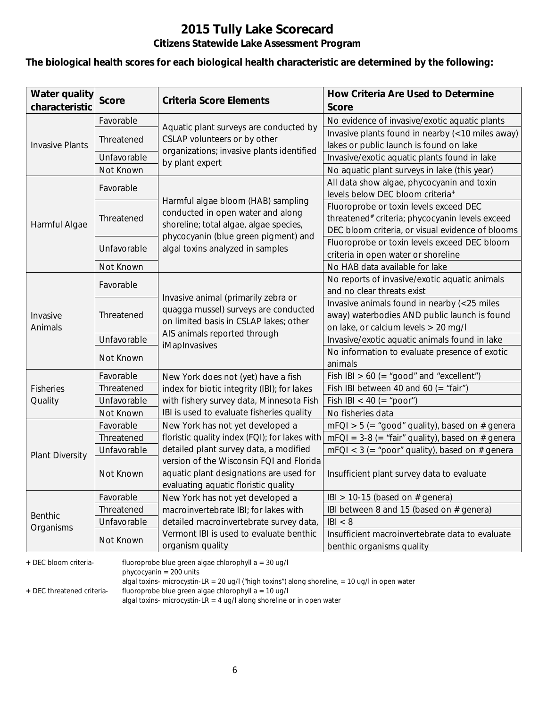#### **The biological health scores for each biological health characteristic are determined by the following:**

| <b>Water quality</b><br>characteristic | <b>Score</b> | <b>Criteria Score Elements</b>                               | How Criteria Are Used to Determine<br><b>Score</b>                           |
|----------------------------------------|--------------|--------------------------------------------------------------|------------------------------------------------------------------------------|
|                                        | Favorable    |                                                              | No evidence of invasive/exotic aquatic plants                                |
|                                        |              | Aquatic plant surveys are conducted by                       | Invasive plants found in nearby (<10 miles away)                             |
| <b>Invasive Plants</b>                 | Threatened   | CSLAP volunteers or by other                                 | lakes or public launch is found on lake                                      |
|                                        | Unfavorable  | organizations; invasive plants identified<br>by plant expert | Invasive/exotic aquatic plants found in lake                                 |
|                                        | Not Known    |                                                              | No aquatic plant surveys in lake (this year)                                 |
|                                        | Favorable    |                                                              | All data show algae, phycocyanin and toxin                                   |
|                                        |              | Harmful algae bloom (HAB) sampling                           | levels below DEC bloom criteria <sup>+</sup>                                 |
|                                        |              | conducted in open water and along                            | Fluoroprobe or toxin levels exceed DEC                                       |
| Harmful Algae                          | Threatened   | shoreline; total algae, algae species,                       | threatened# criteria; phycocyanin levels exceed                              |
|                                        |              | phycocyanin (blue green pigment) and                         | DEC bloom criteria, or visual evidence of blooms                             |
|                                        | Unfavorable  | algal toxins analyzed in samples                             | Fluoroprobe or toxin levels exceed DEC bloom                                 |
|                                        |              |                                                              | criteria in open water or shoreline                                          |
|                                        | Not Known    |                                                              | No HAB data available for lake                                               |
|                                        | Favorable    |                                                              | No reports of invasive/exotic aquatic animals                                |
|                                        |              | Invasive animal (primarily zebra or                          | and no clear threats exist                                                   |
|                                        | Threatened   | quagga mussel) surveys are conducted                         | Invasive animals found in nearby (<25 miles                                  |
| Invasive                               |              | on limited basis in CSLAP lakes; other                       | away) waterbodies AND public launch is found                                 |
| Animals                                |              | AIS animals reported through                                 | on lake, or calcium levels > 20 mg/l                                         |
|                                        | Unfavorable  | iMapInvasives                                                | Invasive/exotic aquatic animals found in lake                                |
|                                        | Not Known    |                                                              | No information to evaluate presence of exotic                                |
|                                        |              |                                                              | animals                                                                      |
|                                        | Favorable    | New York does not (yet) have a fish                          | Fish IBI $> 60$ (= "good" and "excellent")                                   |
| <b>Fisheries</b>                       | Threatened   | index for biotic integrity (IBI); for lakes                  | Fish IBI between 40 and 60 (= "fair")                                        |
| Quality                                | Unfavorable  | with fishery survey data, Minnesota Fish                     | Fish IBI < 40 (= "poor")                                                     |
|                                        | Not Known    | IBI is used to evaluate fisheries quality                    | No fisheries data                                                            |
|                                        | Favorable    | New York has not yet developed a                             | $mFQI > 5$ (= "good" quality), based on # genera                             |
|                                        | Threatened   | floristic quality index (FQI); for lakes with                | $mFQI = 3-8 (= "fair" quality)$ , based on # genera                          |
| <b>Plant Diversity</b>                 | Unfavorable  | detailed plant survey data, a modified                       | $mFQI < 3$ (= "poor" quality), based on # genera                             |
|                                        |              | version of the Wisconsin FQI and Florida                     |                                                                              |
|                                        | Not Known    | aquatic plant designations are used for                      | Insufficient plant survey data to evaluate                                   |
|                                        |              | evaluating aquatic floristic quality                         |                                                                              |
|                                        | Favorable    | New York has not yet developed a                             | IBI > 10-15 (based on $#$ genera)                                            |
| <b>Benthic</b>                         | Threatened   | macroinvertebrate IBI; for lakes with                        | IBI between 8 and 15 (based on # genera)                                     |
| Organisms                              | Unfavorable  | detailed macroinvertebrate survey data,                      | B  < 8                                                                       |
|                                        | Not Known    | Vermont IBI is used to evaluate benthic<br>organism quality  | Insufficient macroinvertebrate data to evaluate<br>benthic organisms quality |

**+** DEC bloom criteria- fluoroprobe blue green algae chlorophyll a = 30 ug/l

phycocyanin = 200 units

algal toxins- microcystin-LR = 20 ug/l ("high toxins") along shoreline, = 10 ug/l in open water

**+** DEC threatened criteria- fluoroprobe blue green algae chlorophyll a = 10 ug/l

algal toxins- microcystin-LR = 4 ug/l along shoreline or in open water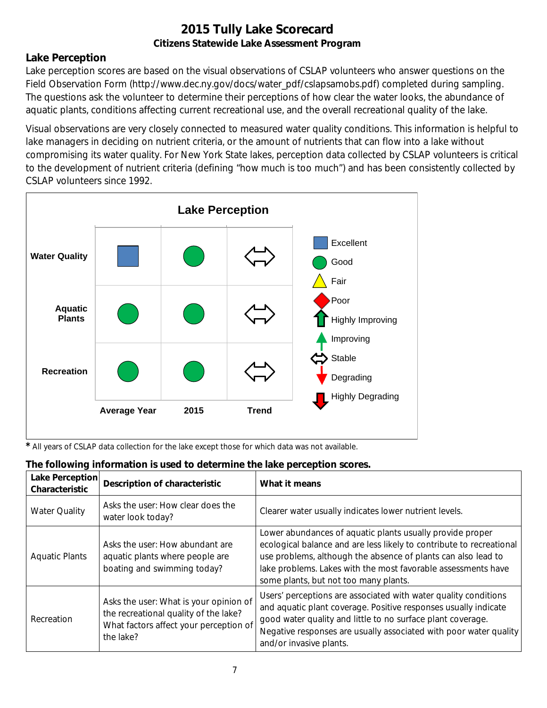### **Lake Perception**

Lake perception scores are based on the visual observations of CSLAP volunteers who answer questions on the Field Observation Form (http://www.dec.ny.gov/docs/water\_pdf/cslapsamobs.pdf) completed during sampling. The questions ask the volunteer to determine their perceptions of how clear the water looks, the abundance of aquatic plants, conditions affecting current recreational use, and the overall recreational quality of the lake.

Visual observations are very closely connected to measured water quality conditions. This information is helpful to lake managers in deciding on nutrient criteria, or the amount of nutrients that can flow into a lake without compromising its water quality. For New York State lakes, perception data collected by CSLAP volunteers is critical to the development of nutrient criteria (defining "how much is too much") and has been consistently collected by CSLAP volunteers since 1992.



*\** All years of CSLAP data collection for the lake except those for which data was not available.

| Lake Perception<br>Characteristic | <b>Description of characteristic</b>                                                                                                   | What it means                                                                                                                                                                                                                                                                                                |
|-----------------------------------|----------------------------------------------------------------------------------------------------------------------------------------|--------------------------------------------------------------------------------------------------------------------------------------------------------------------------------------------------------------------------------------------------------------------------------------------------------------|
| <b>Water Quality</b>              | Asks the user: How clear does the<br>water look today?                                                                                 | Clearer water usually indicates lower nutrient levels.                                                                                                                                                                                                                                                       |
| <b>Aquatic Plants</b>             | Asks the user: How abundant are<br>aquatic plants where people are<br>boating and swimming today?                                      | Lower abundances of aquatic plants usually provide proper<br>ecological balance and are less likely to contribute to recreational<br>use problems, although the absence of plants can also lead to<br>lake problems. Lakes with the most favorable assessments have<br>some plants, but not too many plants. |
| Recreation                        | Asks the user: What is your opinion of<br>the recreational quality of the lake?<br>What factors affect your perception of<br>the lake? | Users' perceptions are associated with water quality conditions<br>and aquatic plant coverage. Positive responses usually indicate<br>good water quality and little to no surface plant coverage.<br>Negative responses are usually associated with poor water quality<br>and/or invasive plants.            |

## **The following information is used to determine the lake perception scores.**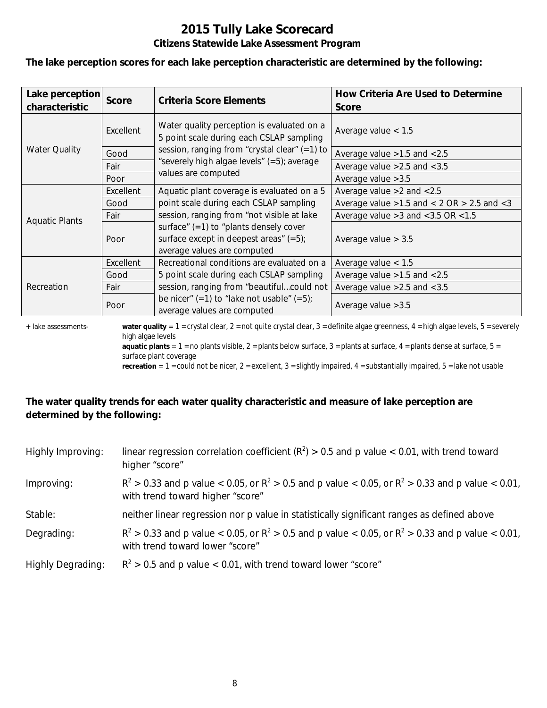**The lake perception scores for each lake perception characteristic are determined by the following:**

| Lake perception<br>characteristic | <b>Score</b> | <b>Criteria Score Elements</b>                                                                                       | How Criteria Are Used to Determine<br><b>Score</b>  |
|-----------------------------------|--------------|----------------------------------------------------------------------------------------------------------------------|-----------------------------------------------------|
|                                   | Excellent    | Water quality perception is evaluated on a<br>5 point scale during each CSLAP sampling                               | Average value $< 1.5$                               |
| <b>Water Quality</b>              | Good         | session, ranging from "crystal clear" $(=1)$ to                                                                      | Average value $>1.5$ and $< 2.5$                    |
|                                   | Fair         | "severely high algae levels" (=5); average                                                                           | Average value $>2.5$ and $< 3.5$                    |
|                                   | Poor         | values are computed                                                                                                  | Average value $>3.5$                                |
|                                   | Excellent    | Aquatic plant coverage is evaluated on a 5                                                                           | Average value $>2$ and $< 2.5$                      |
|                                   | Good         | point scale during each CSLAP sampling                                                                               | Average value $>1.5$ and $< 2$ OR $> 2.5$ and $< 3$ |
|                                   | Fair         | session, ranging from "not visible at lake                                                                           | Average value $>3$ and $<$ 3.5 OR $<$ 1.5           |
| <b>Aquatic Plants</b>             | Poor         | surface" $(=1)$ to "plants densely cover<br>surface except in deepest areas" $(=5)$ ;<br>average values are computed | Average value $> 3.5$                               |
|                                   | Excellent    | Recreational conditions are evaluated on a                                                                           | Average value $< 1.5$                               |
|                                   | Good         | 5 point scale during each CSLAP sampling                                                                             | Average value $>1.5$ and $< 2.5$                    |
| Recreation                        | Fair         | session, ranging from "beautifulcould not                                                                            | Average value $>2.5$ and $< 3.5$                    |
|                                   | Poor         | be nicer" $(=1)$ to "lake not usable" $(=5)$ ;<br>average values are computed                                        | Average value $>3.5$                                |

**+** lake assessments- **water quality** = 1 = crystal clear, 2 = not quite crystal clear, 3 = definite algae greenness, 4 = high algae levels, 5 = severely high algae levels

**aquatic plants** =  $1$  = no plants visible,  $2$  = plants below surface,  $3$  = plants at surface,  $4$  = plants dense at surface,  $5$  = surface plant coverage

**recreation** = 1 = could not be nicer, 2 = excellent, 3 = slightly impaired, 4 = substantially impaired, 5 = lake not usable

### **The water quality trends for each water quality characteristic and measure of lake perception are determined by the following:**

| Highly Improving:        | linear regression correlation coefficient ( $R^2$ ) > 0.5 and p value < 0.01, with trend toward<br>higher "score"                           |
|--------------------------|---------------------------------------------------------------------------------------------------------------------------------------------|
| Improving:               | $R^2 > 0.33$ and p value < 0.05, or $R^2 > 0.5$ and p value < 0.05, or $R^2 > 0.33$ and p value < 0.01,<br>with trend toward higher "score" |
| Stable:                  | neither linear regression nor p value in statistically significant ranges as defined above                                                  |
| Degrading:               | $R^2 > 0.33$ and p value < 0.05, or $R^2 > 0.5$ and p value < 0.05, or $R^2 > 0.33$ and p value < 0.01,<br>with trend toward lower "score"  |
| <b>Highly Degrading:</b> | $R^2 > 0.5$ and p value < 0.01, with trend toward lower "score"                                                                             |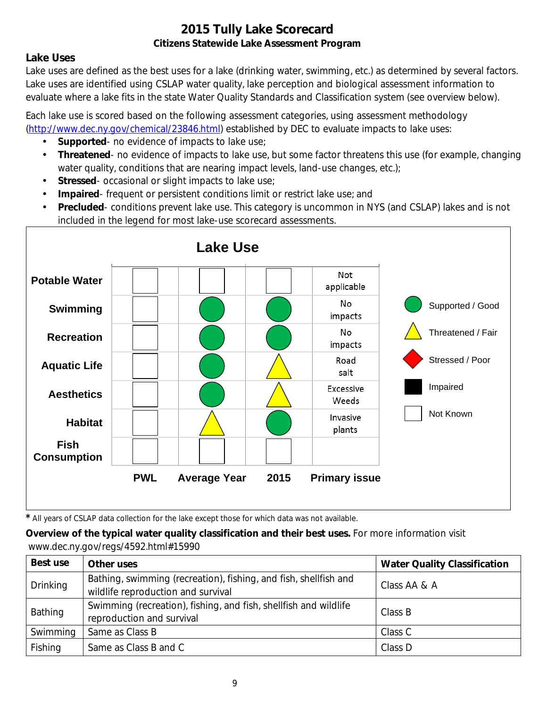## **Lake Uses**

Lake uses are defined as the best uses for a lake (drinking water, swimming, etc.) as determined by several factors. Lake uses are identified using CSLAP water quality, lake perception and biological assessment information to evaluate where a lake fits in the state Water Quality Standards and Classification system (see overview below).

Each lake use is scored based on the following assessment categories, using assessment methodology [\(http://www.dec.ny.gov/chemical/23846.html\)](http://www.dec.ny.gov/chemical/23846.html) established by DEC to evaluate impacts to lake uses:

- **Supported** no evidence of impacts to lake use;
- $\mathcal{L}^{\mathcal{L}}$ **Threatened**- no evidence of impacts to lake use, but some factor threatens this use (for example, changing water quality, conditions that are nearing impact levels, land-use changes, etc.);
- **Stressed** occasional or slight impacts to lake use;  $\mathbf{r}$
- **Impaired** frequent or persistent conditions limit or restrict lake use; and  $\mathbf{r}$
- **Precluded** conditions prevent lake use. This category is uncommon in NYS (and CSLAP) lakes and is not included in the legend for most lake-use scorecard assessments.



*\** All years of CSLAP data collection for the lake except those for which data was not available.

**Overview of the typical water quality classification and their best uses.** For more information visit www.dec.ny.gov/regs/4592.html#15990

| Best use | Other uses                                                                                             | <b>Water Quality Classification</b> |
|----------|--------------------------------------------------------------------------------------------------------|-------------------------------------|
| Drinking | Bathing, swimming (recreation), fishing, and fish, shellfish and<br>wildlife reproduction and survival | Class AA & A                        |
| Bathing  | Swimming (recreation), fishing, and fish, shellfish and wildlife<br>reproduction and survival          | Class B                             |
| Swimming | Same as Class B                                                                                        | Class C                             |
| Fishing  | Same as Class B and C                                                                                  | Class D                             |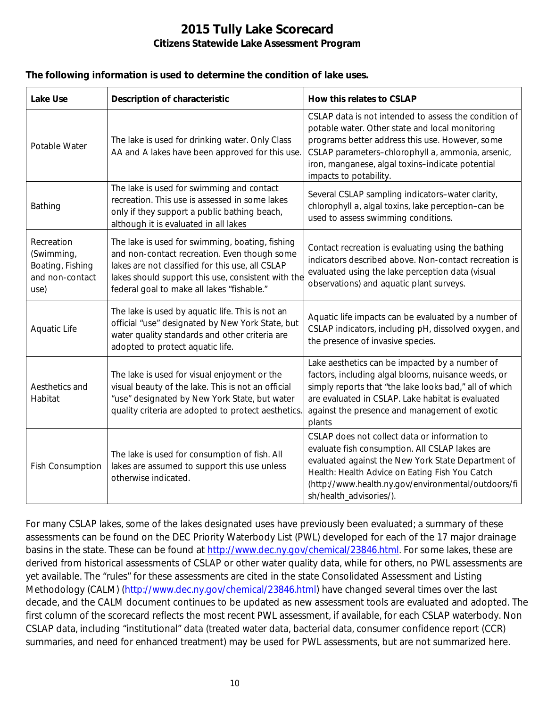#### **The following information is used to determine the condition of lake uses.**

| <b>Lake Use</b>                                                         | <b>Description of characteristic</b>                                                                                                                                                                                                                    | How this relates to CSLAP                                                                                                                                                                                                                                                                      |
|-------------------------------------------------------------------------|---------------------------------------------------------------------------------------------------------------------------------------------------------------------------------------------------------------------------------------------------------|------------------------------------------------------------------------------------------------------------------------------------------------------------------------------------------------------------------------------------------------------------------------------------------------|
| Potable Water                                                           | The lake is used for drinking water. Only Class<br>AA and A lakes have been approved for this use.                                                                                                                                                      | CSLAP data is not intended to assess the condition of<br>potable water. Other state and local monitoring<br>programs better address this use. However, some<br>CSLAP parameters-chlorophyll a, ammonia, arsenic,<br>iron, manganese, algal toxins-indicate potential<br>impacts to potability. |
| Bathing                                                                 | The lake is used for swimming and contact<br>recreation. This use is assessed in some lakes<br>only if they support a public bathing beach,<br>although it is evaluated in all lakes                                                                    | Several CSLAP sampling indicators-water clarity,<br>chlorophyll a, algal toxins, lake perception-can be<br>used to assess swimming conditions.                                                                                                                                                 |
| Recreation<br>(Swimming,<br>Boating, Fishing<br>and non-contact<br>use) | The lake is used for swimming, boating, fishing<br>and non-contact recreation. Even though some<br>lakes are not classified for this use, all CSLAP<br>lakes should support this use, consistent with the<br>federal goal to make all lakes "fishable." | Contact recreation is evaluating using the bathing<br>indicators described above. Non-contact recreation is<br>evaluated using the lake perception data (visual<br>observations) and aquatic plant surveys.                                                                                    |
| Aquatic Life                                                            | The lake is used by aquatic life. This is not an<br>official "use" designated by New York State, but<br>water quality standards and other criteria are<br>adopted to protect aquatic life.                                                              | Aquatic life impacts can be evaluated by a number of<br>CSLAP indicators, including pH, dissolved oxygen, and<br>the presence of invasive species.                                                                                                                                             |
| Aesthetics and<br>Habitat                                               | The lake is used for visual enjoyment or the<br>visual beauty of the lake. This is not an official<br>"use" designated by New York State, but water<br>quality criteria are adopted to protect aesthetics.                                              | Lake aesthetics can be impacted by a number of<br>factors, including algal blooms, nuisance weeds, or<br>simply reports that "the lake looks bad," all of which<br>are evaluated in CSLAP. Lake habitat is evaluated<br>against the presence and management of exotic<br>plants                |
| <b>Fish Consumption</b>                                                 | The lake is used for consumption of fish. All<br>lakes are assumed to support this use unless<br>otherwise indicated.                                                                                                                                   | CSLAP does not collect data or information to<br>evaluate fish consumption. All CSLAP lakes are<br>evaluated against the New York State Department of<br>Health: Health Advice on Eating Fish You Catch<br>(http://www.health.ny.gov/environmental/outdoors/fi<br>sh/health_advisories/).      |

For many CSLAP lakes, some of the lakes designated uses have previously been evaluated; a summary of these assessments can be found on the DEC Priority Waterbody List (PWL) developed for each of the 17 major drainage basins in the state. These can be found at [http://www.dec.ny.gov/chemical/23846.html.](http://www.dec.ny.gov/chemical/23846.html) For some lakes, these are derived from historical assessments of CSLAP or other water quality data, while for others, no PWL assessments are yet available. The "rules" for these assessments are cited in the state Consolidated Assessment and Listing Methodology (CALM) [\(http://www.dec.ny.gov/chemical/23846.html\)](http://www.dec.ny.gov/chemical/23846.html) have changed several times over the last decade, and the CALM document continues to be updated as new assessment tools are evaluated and adopted. The first column of the scorecard reflects the most recent PWL assessment, if available, for each CSLAP waterbody. Non CSLAP data, including "institutional" data (treated water data, bacterial data, consumer confidence report (CCR) summaries, and need for enhanced treatment) may be used for PWL assessments, but are not summarized here.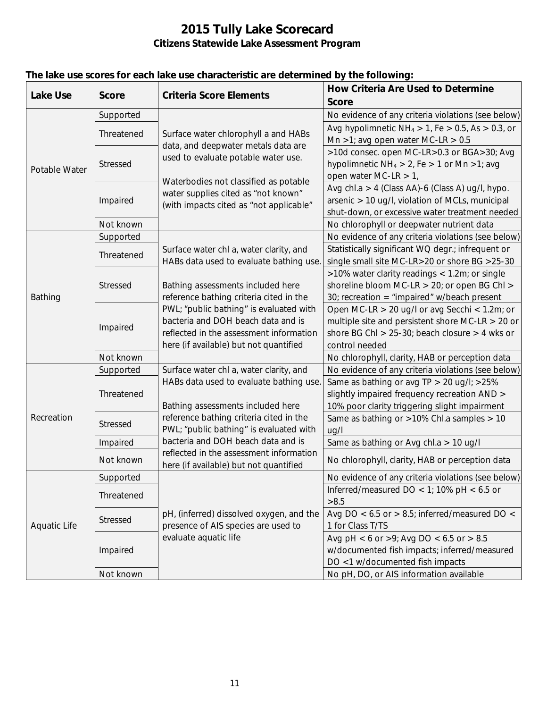| <b>Lake Use</b><br><b>Criteria Score Elements</b><br><b>Score</b>                                                                                             |              |  |
|---------------------------------------------------------------------------------------------------------------------------------------------------------------|--------------|--|
|                                                                                                                                                               | <b>Score</b> |  |
| No evidence of any criteria violations (see below)<br>Supported                                                                                               |              |  |
| Avg hypolimnetic $NH_4 > 1$ , Fe $> 0.5$ , As $> 0.3$ , or<br>Threatened<br>Surface water chlorophyll a and HABs                                              |              |  |
| Mn >1; avg open water MC-LR > $0.5$<br>data, and deepwater metals data are                                                                                    |              |  |
| >10d consec. open MC-LR>0.3 or BGA>30; Avg<br>used to evaluate potable water use.                                                                             |              |  |
| Stressed<br>hypolimnetic $NH_4 > 2$ , Fe $> 1$ or Mn $>1$ ; avg<br>Potable Water                                                                              |              |  |
| open water MC-LR $> 1$ ,<br>Waterbodies not classified as potable                                                                                             |              |  |
| Avg chl.a > 4 (Class AA)-6 (Class A) ug/l, hypo.<br>water supplies cited as "not known"                                                                       |              |  |
| Impaired<br>arsenic > 10 ug/l, violation of MCLs, municipal<br>(with impacts cited as "not applicable"                                                        |              |  |
| shut-down, or excessive water treatment needed                                                                                                                |              |  |
| Not known<br>No chlorophyll or deepwater nutrient data                                                                                                        |              |  |
| Supported<br>No evidence of any criteria violations (see below)                                                                                               |              |  |
| Statistically significant WQ degr.; infrequent or<br>Surface water chl a, water clarity, and<br>Threatened                                                    |              |  |
| single small site MC-LR>20 or shore BG >25-30<br>HABs data used to evaluate bathing use.                                                                      |              |  |
| >10% water clarity readings < 1.2m; or single                                                                                                                 |              |  |
| shoreline bloom MC-LR > 20; or open BG Chl ><br>Stressed<br>Bathing assessments included here                                                                 |              |  |
| reference bathing criteria cited in the<br>30; recreation = "impaired" $w/b$ each present<br>Bathing                                                          |              |  |
| PWL; "public bathing" is evaluated with<br>Open MC-LR > 20 ug/l or avg Secchi < 1.2m; or<br>bacteria and DOH beach data and is                                |              |  |
| multiple site and persistent shore MC-LR $>$ 20 or<br>Impaired<br>reflected in the assessment information                                                     |              |  |
| shore BG Chl > $25-30$ ; beach closure > 4 wks or<br>here (if available) but not quantified<br>control needed                                                 |              |  |
| Not known                                                                                                                                                     |              |  |
| No chlorophyll, clarity, HAB or perception data<br>Surface water chl a, water clarity, and<br>No evidence of any criteria violations (see below)<br>Supported |              |  |
| HABs data used to evaluate bathing use.<br>Same as bathing or avg TP > 20 ug/l; >25%                                                                          |              |  |
| slightly impaired frequency recreation AND ><br>Threatened                                                                                                    |              |  |
| Bathing assessments included here<br>10% poor clarity triggering slight impairment                                                                            |              |  |
| Recreation<br>reference bathing criteria cited in the<br>Same as bathing or >10% Chl.a samples > 10                                                           |              |  |
| <b>Stressed</b><br>PWL; "public bathing" is evaluated with<br>uq/l                                                                                            |              |  |
| bacteria and DOH beach data and is<br>Impaired<br>Same as bathing or Avg chl.a > 10 ug/l                                                                      |              |  |
| reflected in the assessment information<br>Not known<br>No chlorophyll, clarity, HAB or perception data                                                       |              |  |
| here (if available) but not quantified                                                                                                                        |              |  |
| No evidence of any criteria violations (see below)<br>Supported                                                                                               |              |  |
| Inferred/measured DO < 1; 10% pH < $6.5$ or<br>Threatened                                                                                                     |              |  |
| >8.5<br>Avg DO < $6.5$ or > $8.5$ ; inferred/measured DO <                                                                                                    |              |  |
| pH, (inferred) dissolved oxygen, and the<br>Stressed<br>presence of AIS species are used to<br><b>Aquatic Life</b><br>1 for Class T/TS                        |              |  |
| evaluate aquatic life<br>Avg pH < 6 or >9; Avg DO < 6.5 or > 8.5                                                                                              |              |  |
| w/documented fish impacts; inferred/measured<br>Impaired                                                                                                      |              |  |
| DO <1 w/documented fish impacts                                                                                                                               |              |  |
| No pH, DO, or AIS information available<br>Not known                                                                                                          |              |  |

# **The lake use scores for each lake use characteristic are determined by the following:**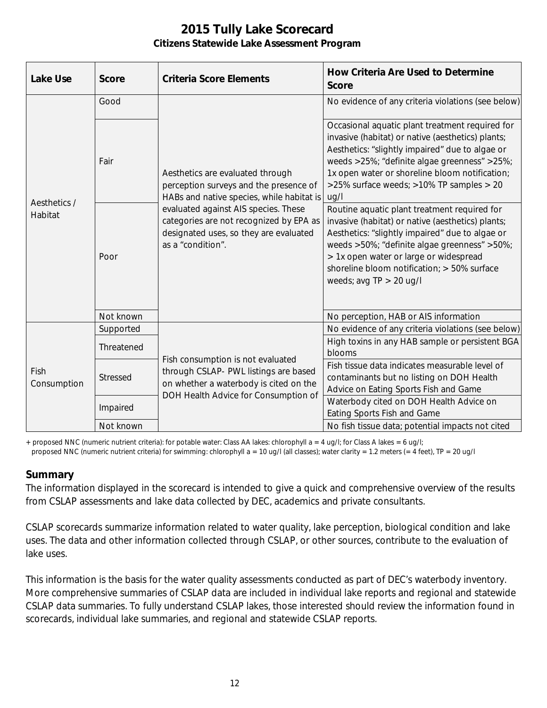| <b>Lake Use</b>         | <b>Score</b>    | <b>Criteria Score Elements</b>                                                                                                                                                                                                                                            | <b>How Criteria Are Used to Determine</b><br><b>Score</b>                                                                                                                                                                                                                                                                  |
|-------------------------|-----------------|---------------------------------------------------------------------------------------------------------------------------------------------------------------------------------------------------------------------------------------------------------------------------|----------------------------------------------------------------------------------------------------------------------------------------------------------------------------------------------------------------------------------------------------------------------------------------------------------------------------|
| Aesthetics /<br>Habitat | Good            | Aesthetics are evaluated through<br>perception surveys and the presence of<br>HABs and native species, while habitat is<br>evaluated against AIS species. These<br>categories are not recognized by EPA as<br>designated uses, so they are evaluated<br>as a "condition". | No evidence of any criteria violations (see below)                                                                                                                                                                                                                                                                         |
|                         | Fair            |                                                                                                                                                                                                                                                                           | Occasional aquatic plant treatment required for<br>invasive (habitat) or native (aesthetics) plants;<br>Aesthetics: "slightly impaired" due to algae or<br>weeds >25%; "definite algae greenness" >25%;<br>1x open water or shoreline bloom notification;<br>>25% surface weeds; >10% TP samples > 20<br>ug/l              |
|                         | Poor            |                                                                                                                                                                                                                                                                           | Routine aquatic plant treatment required for<br>invasive (habitat) or native (aesthetics) plants;<br>Aesthetics: "slightly impaired" due to algae or<br>weeds >50%; "definite algae greenness" >50%;<br>> 1x open water or large or widespread<br>shoreline bloom notification; > 50% surface<br>weeds; avg $TP > 20$ ug/l |
|                         | Not known       |                                                                                                                                                                                                                                                                           | No perception, HAB or AIS information                                                                                                                                                                                                                                                                                      |
| Fish<br>Consumption     | Supported       | Fish consumption is not evaluated<br>through CSLAP- PWL listings are based<br>on whether a waterbody is cited on the<br>DOH Health Advice for Consumption of                                                                                                              | No evidence of any criteria violations (see below)                                                                                                                                                                                                                                                                         |
|                         | Threatened      |                                                                                                                                                                                                                                                                           | High toxins in any HAB sample or persistent BGA<br>blooms                                                                                                                                                                                                                                                                  |
|                         | <b>Stressed</b> |                                                                                                                                                                                                                                                                           | Fish tissue data indicates measurable level of<br>contaminants but no listing on DOH Health<br>Advice on Eating Sports Fish and Game                                                                                                                                                                                       |
|                         | Impaired        |                                                                                                                                                                                                                                                                           | Waterbody cited on DOH Health Advice on<br>Eating Sports Fish and Game                                                                                                                                                                                                                                                     |
|                         | Not known       |                                                                                                                                                                                                                                                                           | No fish tissue data; potential impacts not cited                                                                                                                                                                                                                                                                           |

+ proposed NNC (numeric nutrient criteria): for potable water: Class AA lakes: chlorophyll a = 4 ug/l; for Class A lakes = 6 ug/l;

#### proposed NNC (numeric nutrient criteria) for swimming: chlorophyll a = 10 ug/l (all classes); water clarity = 1.2 meters (= 4 feet), TP = 20 ug/l

#### **Summary**

The information displayed in the scorecard is intended to give a quick and comprehensive overview of the results from CSLAP assessments and lake data collected by DEC, academics and private consultants.

CSLAP scorecards summarize information related to water quality, lake perception, biological condition and lake uses. The data and other information collected through CSLAP, or other sources, contribute to the evaluation of lake uses.

This information is the basis for the water quality assessments conducted as part of DEC's waterbody inventory. More comprehensive summaries of CSLAP data are included in individual lake reports and regional and statewide CSLAP data summaries. To fully understand CSLAP lakes, those interested should review the information found in scorecards, individual lake summaries, and regional and statewide CSLAP reports.